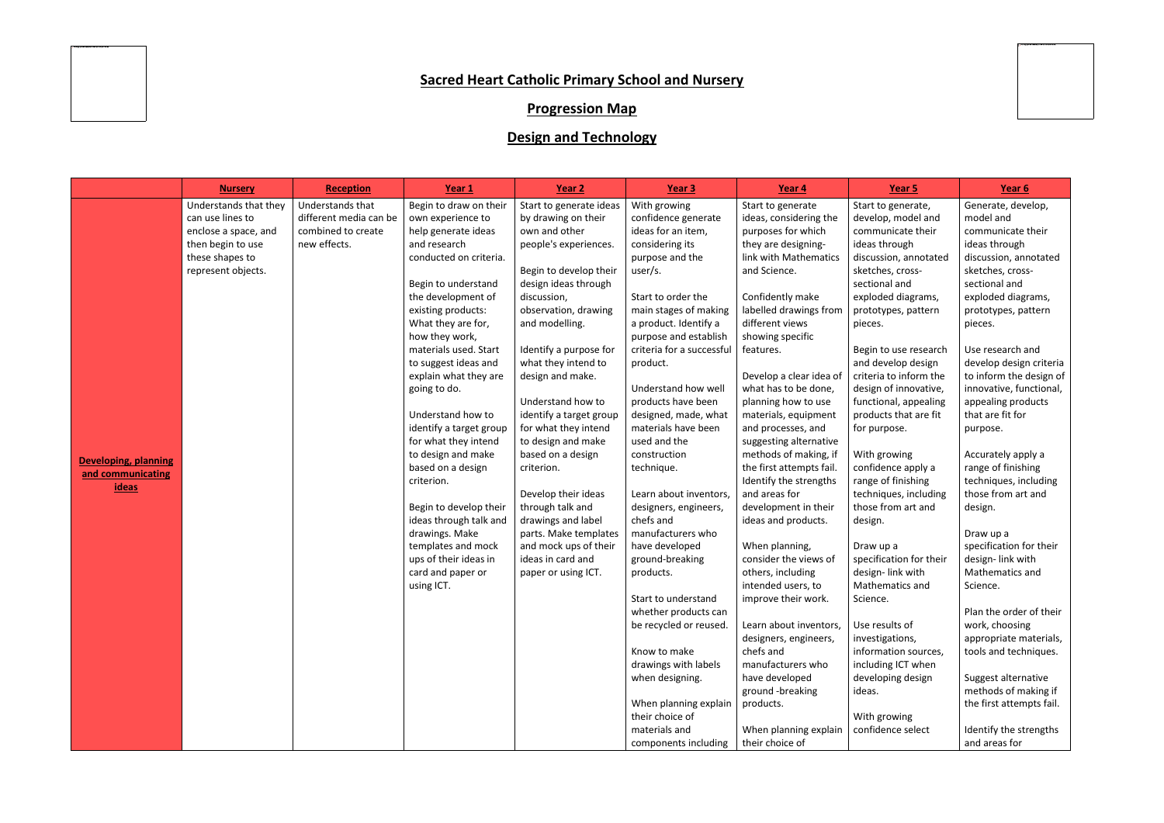## **Sacred Heart Catholic Primary School and Nursery**

## **Progression Map**

## **Design and Technology**

|                             | <b>Nursery</b>                            | Reception                                  | Year 1                              | Year 2                                         | Year 3                                    | <u>Year 4</u>                             | Year 5                             | Year 6                           |
|-----------------------------|-------------------------------------------|--------------------------------------------|-------------------------------------|------------------------------------------------|-------------------------------------------|-------------------------------------------|------------------------------------|----------------------------------|
|                             | Understands that they<br>can use lines to | Understands that<br>different media can be | Begin to draw on their              | Start to generate ideas<br>by drawing on their | With growing                              | Start to generate                         | Start to generate,                 | Generate, dev<br>model and       |
|                             |                                           | combined to create                         | own experience to                   | own and other                                  | confidence generate<br>ideas for an item, | ideas, considering the                    | develop, model and                 | communicate                      |
|                             | enclose a space, and<br>then begin to use | new effects.                               | help generate ideas<br>and research | people's experiences.                          | considering its                           | purposes for which<br>they are designing- | communicate their<br>ideas through |                                  |
|                             |                                           |                                            | conducted on criteria.              |                                                | purpose and the                           | link with Mathematics                     |                                    | ideas through                    |
|                             | these shapes to                           |                                            |                                     |                                                | user/s.                                   |                                           | discussion, annotated              | discussion, ani                  |
|                             | represent objects.                        |                                            | Begin to understand                 | Begin to develop their<br>design ideas through |                                           | and Science.                              | sketches, cross-<br>sectional and  | sketches, cross<br>sectional and |
|                             |                                           |                                            | the development of                  | discussion,                                    | Start to order the                        | Confidently make                          | exploded diagrams,                 | exploded diagr                   |
|                             |                                           |                                            | existing products:                  |                                                | main stages of making                     |                                           |                                    |                                  |
|                             |                                           |                                            | What they are for,                  | observation, drawing                           | a product. Identify a                     | labelled drawings from<br>different views | prototypes, pattern                | prototypes, pa                   |
|                             |                                           |                                            | how they work,                      | and modelling.                                 | purpose and establish                     |                                           | pieces.                            | pieces.                          |
|                             |                                           |                                            | materials used. Start               |                                                | criteria for a successful                 | showing specific                          |                                    |                                  |
|                             |                                           |                                            |                                     | Identify a purpose for                         |                                           | features.                                 | Begin to use research              | Use research a                   |
|                             |                                           |                                            | to suggest ideas and                | what they intend to                            | product.                                  |                                           | and develop design                 | develop desigr<br>to inform the  |
|                             |                                           |                                            | explain what they are               | design and make.                               |                                           | Develop a clear idea of                   | criteria to inform the             |                                  |
|                             |                                           |                                            | going to do.                        |                                                | Understand how wel                        | what has to be done,                      | design of innovative,              | innovative, fur                  |
|                             |                                           |                                            |                                     | Understand how to                              | products have been                        | planning how to use                       | functional, appealing              | appealing prod                   |
|                             |                                           |                                            | Understand how to                   | identify a target group                        | designed, made, what                      | materials, equipment                      | products that are fit              | that are fit for                 |
|                             |                                           |                                            | identify a target group             | for what they intend                           | materials have been                       | and processes, and                        | for purpose.                       | purpose.                         |
|                             |                                           |                                            | for what they intend                | to design and make                             | used and the                              | suggesting alternative                    |                                    |                                  |
| <b>Developing, planning</b> |                                           |                                            | to design and make                  | based on a design                              | construction                              | methods of making, if                     | With growing                       | Accurately app                   |
| and communicating           |                                           |                                            | based on a design                   | criterion.                                     | technique.                                | the first attempts fail.                  | confidence apply a                 | range of finish                  |
| <b>ideas</b>                |                                           |                                            | criterion.                          |                                                |                                           | Identify the strengths                    | range of finishing                 | techniques, in                   |
|                             |                                           |                                            |                                     | Develop their ideas                            | Learn about inventors,                    | and areas for                             | techniques, including              | those from art                   |
|                             |                                           |                                            | Begin to develop their              | through talk and                               | designers, engineers,                     | development in their                      | those from art and                 | design.                          |
|                             |                                           |                                            | ideas through talk and              | drawings and label                             | chefs and                                 | ideas and products.                       | design.                            |                                  |
|                             |                                           |                                            | drawings. Make                      | parts. Make templates                          | manufacturers who                         |                                           |                                    | Draw up a                        |
|                             |                                           |                                            | templates and mock                  | and mock ups of their                          | have developed                            | When planning,                            | Draw up a                          | specification fo                 |
|                             |                                           |                                            | ups of their ideas in               | ideas in card and                              | ground-breaking                           | consider the views of                     | specification for their            | design-link wi                   |
|                             |                                           |                                            | card and paper or                   | paper or using ICT.                            | products.                                 | others, including                         | design-link with                   | Mathematics a                    |
|                             |                                           |                                            | using ICT.                          |                                                |                                           | intended users, to                        | Mathematics and                    | Science.                         |
|                             |                                           |                                            |                                     |                                                | Start to understand                       | improve their work.                       | Science.                           |                                  |
|                             |                                           |                                            |                                     |                                                | whether products can                      |                                           |                                    | Plan the order                   |
|                             |                                           |                                            |                                     |                                                | be recycled or reused.                    | Learn about inventors,                    | Use results of                     | work, choosing                   |
|                             |                                           |                                            |                                     |                                                |                                           | designers, engineers,                     | investigations,                    | appropriate m                    |
|                             |                                           |                                            |                                     |                                                | Know to make                              | chefs and                                 | information sources,               | tools and tech                   |
|                             |                                           |                                            |                                     |                                                | drawings with labels                      | manufacturers who                         | including ICT when                 |                                  |
|                             |                                           |                                            |                                     |                                                | when designing.                           | have developed                            | developing design                  | Suggest altern                   |
|                             |                                           |                                            |                                     |                                                |                                           | ground -breaking                          | ideas.                             | methods of ma                    |
|                             |                                           |                                            |                                     |                                                | When planning explain                     | products.                                 |                                    | the first attem                  |
|                             |                                           |                                            |                                     |                                                | their choice of                           |                                           | With growing                       |                                  |
|                             |                                           |                                            |                                     |                                                | materials and                             | When planning explain                     | confidence select                  | Identify the sti                 |
|                             |                                           |                                            |                                     |                                                | components including                      | their choice of                           |                                    | and areas for                    |

## to generate, op, model and nunicate their through ssion, annotated es, crossnal and ded diagrams, types, pattern Generate, develop, model and communicate their ideas through discussion, annotated sketches, crosssectional and exploded diagrams, prototypes, pattern

Use research and develop design criteria to inform the design of innovative, functional, appealing products that are fit for purpose.

Accurately apply a range of finishing techniques, including those from art and design.

Draw up a specification for their design- link with Mathematics and Science.

Plan the order of their work, choosing appropriate materials, tools and techniques.

Suggest alternative methods of making if the first attempts fail.

Identify the strengths and areas for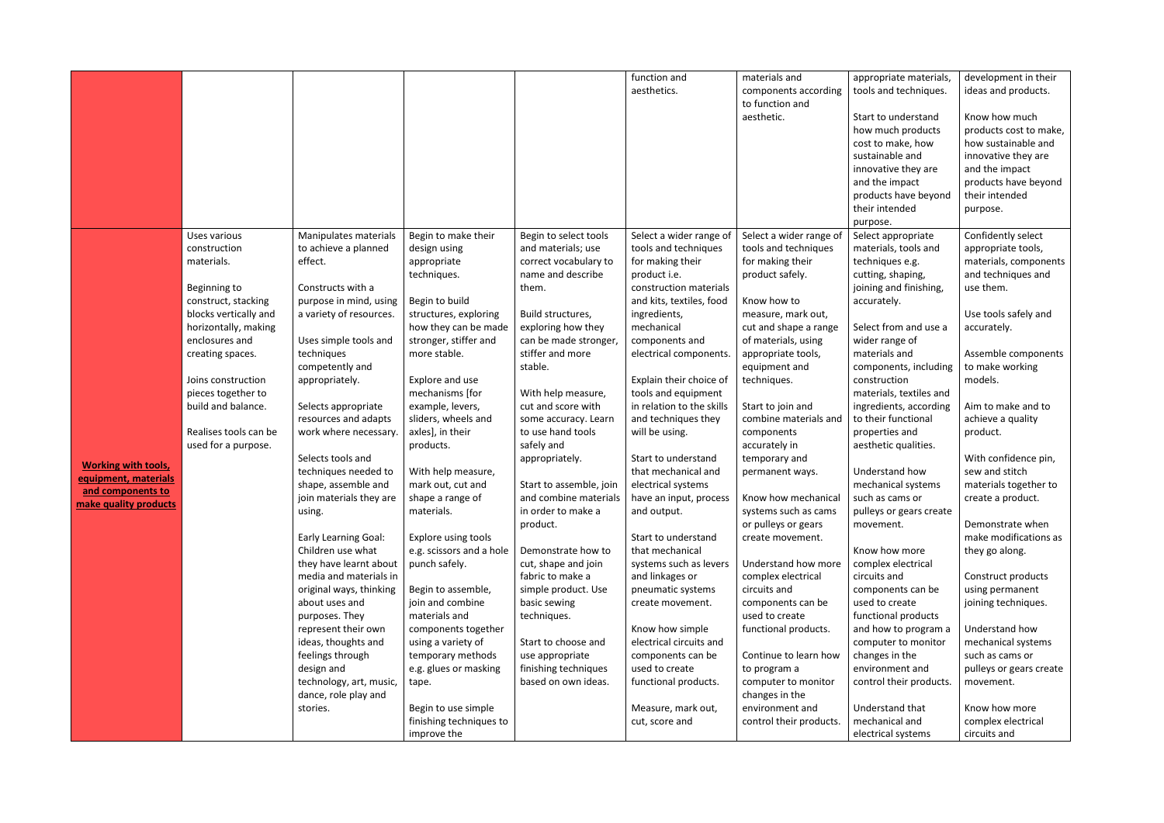|                            |                       |                                                 |                          |                                             | function and              | materials and                         | appropriate materials,                     | development in their    |
|----------------------------|-----------------------|-------------------------------------------------|--------------------------|---------------------------------------------|---------------------------|---------------------------------------|--------------------------------------------|-------------------------|
|                            |                       |                                                 |                          |                                             | aesthetics.               | components according                  | tools and techniques.                      | ideas and products.     |
|                            |                       |                                                 |                          |                                             |                           | to function and                       |                                            |                         |
|                            |                       |                                                 |                          |                                             |                           | aesthetic.                            | Start to understand                        | Know how much           |
|                            |                       |                                                 |                          |                                             |                           |                                       | how much products                          | products cost to make,  |
|                            |                       |                                                 |                          |                                             |                           |                                       | cost to make, how                          | how sustainable and     |
|                            |                       |                                                 |                          |                                             |                           |                                       | sustainable and                            | innovative they are     |
|                            |                       |                                                 |                          |                                             |                           |                                       | innovative they are                        | and the impact          |
|                            |                       |                                                 |                          |                                             |                           |                                       | and the impact                             | products have beyond    |
|                            |                       |                                                 |                          |                                             |                           |                                       | products have beyond                       | their intended          |
|                            |                       |                                                 |                          |                                             |                           |                                       | their intended                             | purpose.                |
|                            |                       |                                                 |                          |                                             |                           |                                       | purpose.                                   |                         |
|                            | Uses various          | Manipulates materials                           | Begin to make their      | Begin to select tools                       | Select a wider range of   | Select a wider range of               | Select appropriate                         | Confidently select      |
|                            | construction          | to achieve a planned                            | design using             | and materials; use                          | tools and techniques      | tools and techniques                  | materials, tools and                       | appropriate tools,      |
|                            | materials.            | effect.                                         | appropriate              | correct vocabulary to                       | for making their          | for making their                      | techniques e.g.                            | materials, components   |
|                            |                       |                                                 | techniques.              | name and describe                           | product i.e.              | product safely.                       | cutting, shaping,                          | and techniques and      |
|                            | Beginning to          | Constructs with a                               |                          | them.                                       | construction materials    |                                       | joining and finishing,                     | use them.               |
|                            | construct, stacking   | purpose in mind, using                          | Begin to build           |                                             | and kits, textiles, food  | Know how to                           | accurately.                                |                         |
|                            | blocks vertically and | a variety of resources.                         | structures, exploring    | Build structures,                           | ingredients,              | measure, mark out,                    |                                            | Use tools safely and    |
|                            | horizontally, making  |                                                 | how they can be made     | exploring how they                          | mechanical                | cut and shape a range                 | Select from and use a                      | accurately.             |
|                            | enclosures and        | Uses simple tools and                           | stronger, stiffer and    | can be made stronger,                       | components and            | of materials, using                   | wider range of                             |                         |
|                            | creating spaces.      | techniques                                      | more stable.             | stiffer and more                            | electrical components.    | appropriate tools,                    | materials and                              | Assemble components     |
|                            |                       | competently and                                 |                          | stable.                                     |                           | equipment and                         | components, including                      | to make working         |
|                            | Joins construction    | appropriately.                                  | Explore and use          |                                             | Explain their choice of   | techniques.                           | construction                               | models.                 |
|                            | pieces together to    |                                                 | mechanisms [for          | With help measure,                          | tools and equipment       |                                       | materials, textiles and                    |                         |
|                            | build and balance.    | Selects appropriate                             | example, levers,         | cut and score with                          | in relation to the skills | Start to join and                     | ingredients, according                     | Aim to make and to      |
|                            |                       | resources and adapts                            | sliders, wheels and      | some accuracy. Learn                        | and techniques they       | combine materials and                 | to their functional                        | achieve a quality       |
|                            | Realises tools can be | work where necessary.                           | axles], in their         | to use hand tools                           | will be using.            | components                            | properties and                             | product.                |
|                            | used for a purpose.   |                                                 | products.                | safely and                                  |                           | accurately in                         | aesthetic qualities.                       |                         |
| <b>Working with tools,</b> |                       | Selects tools and                               |                          | appropriately.                              | Start to understand       | temporary and                         |                                            | With confidence pin,    |
| equipment, materials       |                       | techniques needed to                            | With help measure,       |                                             | that mechanical and       | permanent ways.                       | Understand how                             | sew and stitch          |
| and components to          |                       | shape, assemble and                             | mark out, cut and        | Start to assemble, join                     | electrical systems        |                                       | mechanical systems                         | materials together to   |
| make quality products      |                       | join materials they are                         | shape a range of         | and combine materials                       | have an input, process    | Know how mechanical                   | such as cams or                            | create a product.       |
|                            |                       | using.                                          | materials.               | in order to make a                          | and output.               | systems such as cams                  | pulleys or gears create                    |                         |
|                            |                       |                                                 |                          | product.                                    |                           | or pulleys or gears                   | movement.                                  | Demonstrate when        |
|                            |                       | <b>Early Learning Goal:</b>                     | Explore using tools      |                                             | Start to understand       | create movement.                      |                                            | make modifications as   |
|                            |                       | Children use what                               | e.g. scissors and a hole | Demonstrate how to                          | that mechanical           |                                       | Know how more                              | they go along.          |
|                            |                       | they have learnt about                          | punch safely.            | cut, shape and join                         | systems such as levers    | Understand how more                   | complex electrical                         |                         |
|                            |                       | media and materials in                          |                          | fabric to make a                            | and linkages or           | complex electrical                    | circuits and                               | Construct products      |
|                            |                       | original ways, thinking                         | Begin to assemble,       | simple product. Use                         | pneumatic systems         | circuits and                          | components can be                          | using permanent         |
|                            |                       | about uses and                                  | join and combine         | basic sewing                                | create movement.          | components can be                     | used to create                             | joining techniques.     |
|                            |                       | purposes. They                                  | materials and            | techniques.                                 |                           | used to create                        | functional products                        | Understand how          |
|                            |                       | represent their own                             | components together      |                                             | Know how simple           | functional products.                  | and how to program a                       |                         |
|                            |                       | ideas, thoughts and                             | using a variety of       | Start to choose and                         | electrical circuits and   |                                       | computer to monitor                        | mechanical systems      |
|                            |                       | feelings through                                | temporary methods        | use appropriate                             | components can be         | Continue to learn how                 | changes in the                             | such as cams or         |
|                            |                       | design and                                      | e.g. glues or masking    | finishing techniques<br>based on own ideas. | used to create            | to program a                          | environment and<br>control their products. | pulleys or gears create |
|                            |                       | technology, art, music,<br>dance, role play and | tape.                    |                                             | functional products.      | computer to monitor<br>changes in the |                                            | movement.               |
|                            |                       | stories.                                        | Begin to use simple      |                                             | Measure, mark out,        | environment and                       | Understand that                            | Know how more           |
|                            |                       |                                                 | finishing techniques to  |                                             | cut, score and            | control their products.               | mechanical and                             | complex electrical      |
|                            |                       |                                                 | improve the              |                                             |                           |                                       | electrical systems                         | circuits and            |
|                            |                       |                                                 |                          |                                             |                           |                                       |                                            |                         |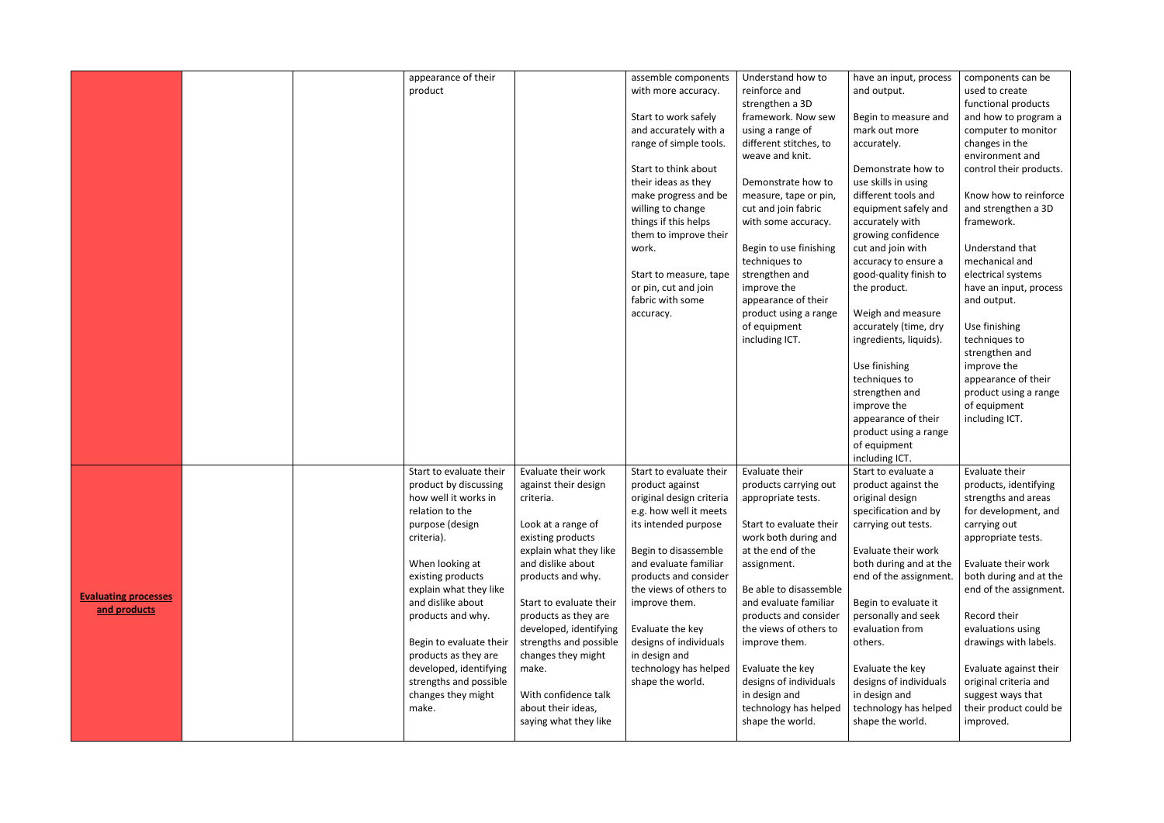|                             |  | appearance of their                           |                         | assemble components                                | Understand how to                       | have an input, process                         | components can be                           |
|-----------------------------|--|-----------------------------------------------|-------------------------|----------------------------------------------------|-----------------------------------------|------------------------------------------------|---------------------------------------------|
|                             |  | product                                       |                         | with more accuracy.                                | reinforce and                           | and output.                                    | used to create                              |
|                             |  |                                               |                         |                                                    | strengthen a 3D                         |                                                | functional products                         |
|                             |  |                                               |                         | Start to work safely                               | framework. Now sew                      | Begin to measure and                           | and how to program a                        |
|                             |  |                                               |                         | and accurately with a                              | using a range of                        | mark out more                                  | computer to monitor                         |
|                             |  |                                               |                         | range of simple tools.                             | different stitches, to                  | accurately.                                    | changes in the                              |
|                             |  |                                               |                         |                                                    | weave and knit.                         |                                                | environment and                             |
|                             |  |                                               |                         | Start to think about                               |                                         | Demonstrate how to                             | control their products.                     |
|                             |  |                                               |                         | their ideas as they                                | Demonstrate how to                      | use skills in using                            |                                             |
|                             |  |                                               |                         | make progress and be                               | measure, tape or pin,                   | different tools and                            | Know how to reinforce                       |
|                             |  |                                               |                         | willing to change                                  | cut and join fabric                     | equipment safely and                           | and strengthen a 3D                         |
|                             |  |                                               |                         | things if this helps                               | with some accuracy.                     | accurately with                                | framework.                                  |
|                             |  |                                               |                         | them to improve their                              |                                         | growing confidence                             |                                             |
|                             |  |                                               |                         | work.                                              | Begin to use finishing<br>techniques to | cut and join with                              | Understand that<br>mechanical and           |
|                             |  |                                               |                         | Start to measure, tape                             | strengthen and                          | accuracy to ensure a<br>good-quality finish to | electrical systems                          |
|                             |  |                                               |                         | or pin, cut and join                               | improve the                             | the product.                                   | have an input, process                      |
|                             |  |                                               |                         | fabric with some                                   | appearance of their                     |                                                | and output.                                 |
|                             |  |                                               |                         | accuracy.                                          | product using a range                   | Weigh and measure                              |                                             |
|                             |  |                                               |                         |                                                    | of equipment                            | accurately (time, dry                          | Use finishing                               |
|                             |  |                                               |                         |                                                    | including ICT.                          | ingredients, liquids).                         | techniques to                               |
|                             |  |                                               |                         |                                                    |                                         |                                                | strengthen and                              |
|                             |  |                                               |                         |                                                    |                                         | Use finishing                                  | improve the                                 |
|                             |  |                                               |                         |                                                    |                                         | techniques to                                  | appearance of their                         |
|                             |  |                                               |                         |                                                    |                                         | strengthen and                                 | product using a range                       |
|                             |  |                                               |                         |                                                    |                                         | improve the                                    | of equipment                                |
|                             |  |                                               |                         |                                                    |                                         | appearance of their                            | including ICT.                              |
|                             |  |                                               |                         |                                                    |                                         | product using a range                          |                                             |
|                             |  |                                               |                         |                                                    |                                         | of equipment                                   |                                             |
|                             |  |                                               |                         |                                                    |                                         | including ICT.                                 |                                             |
|                             |  | Start to evaluate their                       | Evaluate their work     | Start to evaluate their                            | Evaluate their                          | Start to evaluate a                            | Evaluate their                              |
|                             |  | product by discussing<br>how well it works in | against their design    | product against                                    | products carrying out                   | product against the                            | products, identifying                       |
|                             |  | relation to the                               | criteria.               | original design criteria<br>e.g. how well it meets | appropriate tests.                      | original design<br>specification and by        | strengths and areas<br>for development, and |
|                             |  | purpose (design                               | Look at a range of      | its intended purpose                               | Start to evaluate their                 | carrying out tests.                            | carrying out                                |
|                             |  | criteria).                                    | existing products       |                                                    | work both during and                    |                                                | appropriate tests.                          |
|                             |  |                                               | explain what they like  | Begin to disassemble                               | at the end of the                       | Evaluate their work                            |                                             |
|                             |  | When looking at                               | and dislike about       | and evaluate familiar                              | assignment.                             | both during and at the                         | Evaluate their work                         |
|                             |  | existing products                             | products and why.       | products and consider                              |                                         | end of the assignment.                         | both during and at the                      |
|                             |  | explain what they like                        |                         | the views of others to                             | Be able to disassemble                  |                                                | end of the assignment.                      |
| <b>Evaluating processes</b> |  | and dislike about                             | Start to evaluate their | improve them.                                      | and evaluate familiar                   | Begin to evaluate it                           |                                             |
| and products                |  | products and why.                             | products as they are    |                                                    | products and consider                   | personally and seek                            | Record their                                |
|                             |  |                                               | developed, identifying  | Evaluate the key                                   | the views of others to                  | evaluation from                                | evaluations using                           |
|                             |  | Begin to evaluate their                       | strengths and possible  | designs of individuals                             | improve them.                           | others.                                        | drawings with labels.                       |
|                             |  | products as they are                          | changes they might      | in design and                                      |                                         |                                                |                                             |
|                             |  | developed, identifying                        | make.                   | technology has helped                              | Evaluate the key                        | Evaluate the key                               | Evaluate against their                      |
|                             |  | strengths and possible                        |                         | shape the world.                                   | designs of individuals                  | designs of individuals                         | original criteria and                       |
|                             |  | changes they might                            | With confidence talk    |                                                    | in design and                           | in design and                                  | suggest ways that                           |
|                             |  | make.                                         | about their ideas,      |                                                    | technology has helped                   | technology has helped                          | their product could be                      |
|                             |  |                                               | saying what they like   |                                                    | shape the world.                        | shape the world.                               | improved.                                   |
|                             |  |                                               |                         |                                                    |                                         |                                                |                                             |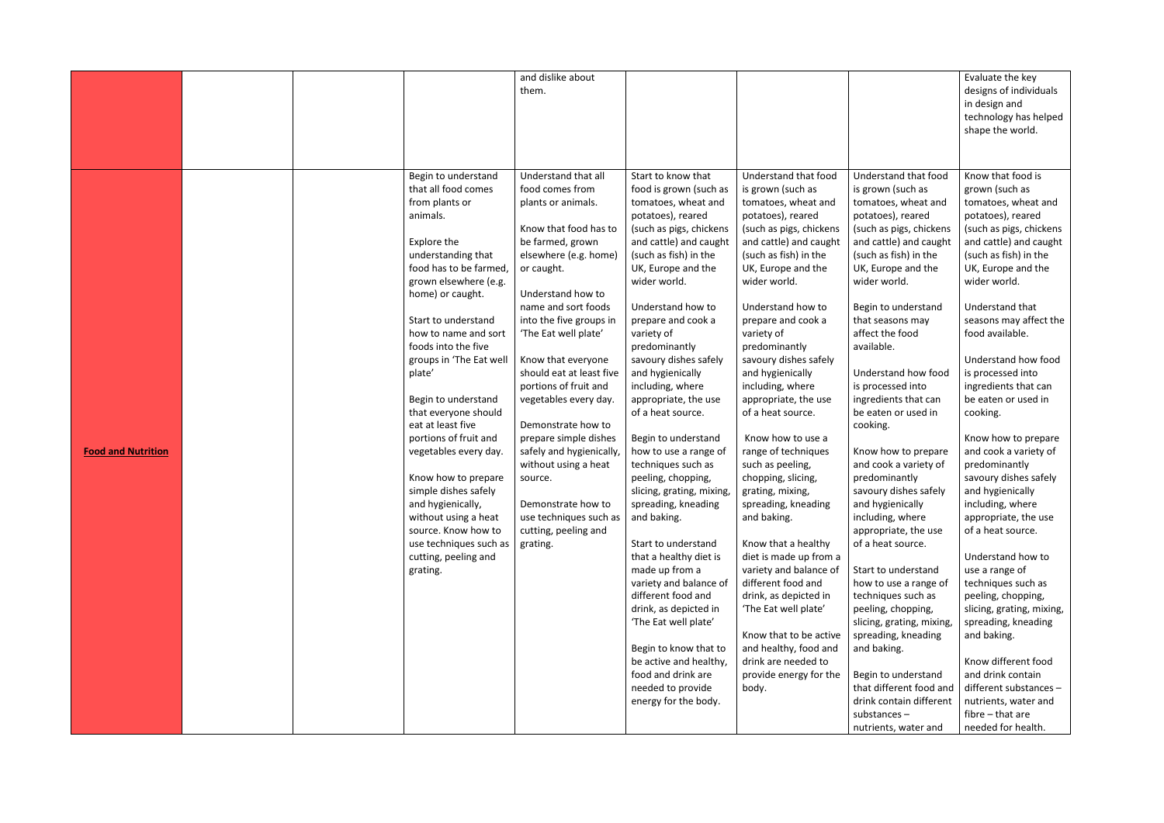|                           |  |                                           | and dislike about                              |                                                   |                                                   |                                                    | Evaluate the key                                  |
|---------------------------|--|-------------------------------------------|------------------------------------------------|---------------------------------------------------|---------------------------------------------------|----------------------------------------------------|---------------------------------------------------|
|                           |  |                                           | them.                                          |                                                   |                                                   |                                                    | designs of individuals<br>in design and           |
|                           |  |                                           |                                                |                                                   |                                                   |                                                    | technology has helped                             |
|                           |  |                                           |                                                |                                                   |                                                   |                                                    | shape the world.                                  |
|                           |  |                                           |                                                |                                                   |                                                   |                                                    |                                                   |
|                           |  | Begin to understand                       | Understand that all                            | Start to know that                                | Understand that food                              | Understand that food                               | Know that food is                                 |
|                           |  | that all food comes                       | food comes from                                | food is grown (such as                            | is grown (such as                                 | is grown (such as                                  | grown (such as                                    |
|                           |  | from plants or                            | plants or animals.                             | tomatoes, wheat and                               | tomatoes, wheat and                               | tomatoes, wheat and                                | tomatoes, wheat and                               |
|                           |  | animals.                                  |                                                | potatoes), reared                                 | potatoes), reared                                 | potatoes), reared                                  | potatoes), reared                                 |
|                           |  | Explore the                               | Know that food has to<br>be farmed, grown      | (such as pigs, chickens<br>and cattle) and caught | (such as pigs, chickens<br>and cattle) and caught | (such as pigs, chickens<br>and cattle) and caught  | (such as pigs, chickens<br>and cattle) and caught |
|                           |  | understanding that                        | elsewhere (e.g. home)                          | (such as fish) in the                             | (such as fish) in the                             | (such as fish) in the                              | (such as fish) in the                             |
|                           |  | food has to be farmed,                    | or caught.                                     | UK, Europe and the                                | UK, Europe and the                                | UK, Europe and the                                 | UK, Europe and the                                |
|                           |  | grown elsewhere (e.g.                     |                                                | wider world.                                      | wider world.                                      | wider world.                                       | wider world.                                      |
|                           |  | home) or caught.                          | Understand how to                              |                                                   |                                                   |                                                    |                                                   |
|                           |  | Start to understand                       | name and sort foods<br>into the five groups in | Understand how to<br>prepare and cook a           | Understand how to<br>prepare and cook a           | Begin to understand<br>that seasons may            | Understand that<br>seasons may affect the         |
|                           |  | how to name and sort                      | 'The Eat well plate'                           | variety of                                        | variety of                                        | affect the food                                    | food available.                                   |
|                           |  | foods into the five                       |                                                | predominantly                                     | predominantly                                     | available.                                         |                                                   |
|                           |  | groups in 'The Eat well                   | Know that everyone                             | savoury dishes safely                             | savoury dishes safely                             |                                                    | Understand how food                               |
|                           |  | plate'                                    | should eat at least five                       | and hygienically                                  | and hygienically                                  | Understand how food                                | is processed into                                 |
|                           |  |                                           | portions of fruit and                          | including, where                                  | including, where                                  | is processed into                                  | ingredients that can                              |
|                           |  | Begin to understand                       | vegetables every day.                          | appropriate, the use                              | appropriate, the use                              | ingredients that can                               | be eaten or used in                               |
|                           |  | that everyone should<br>eat at least five | Demonstrate how to                             | of a heat source.                                 | of a heat source.                                 | be eaten or used in<br>cooking.                    | cooking.                                          |
|                           |  | portions of fruit and                     | prepare simple dishes                          | Begin to understand                               | Know how to use a                                 |                                                    | Know how to prepare                               |
| <b>Food and Nutrition</b> |  | vegetables every day.                     | safely and hygienically,                       | how to use a range of                             | range of techniques                               | Know how to prepare                                | and cook a variety of                             |
|                           |  |                                           | without using a heat                           | techniques such as                                | such as peeling,                                  | and cook a variety of                              | predominantly                                     |
|                           |  | Know how to prepare                       | source.                                        | peeling, chopping,                                | chopping, slicing,                                | predominantly                                      | savoury dishes safely                             |
|                           |  | simple dishes safely                      |                                                | slicing, grating, mixing,<br>spreading, kneading  | grating, mixing,                                  | savoury dishes safely                              | and hygienically                                  |
|                           |  | and hygienically,<br>without using a heat | Demonstrate how to<br>use techniques such as   | and baking.                                       | spreading, kneading<br>and baking.                | and hygienically<br>including, where               | including, where<br>appropriate, the use          |
|                           |  | source. Know how to                       | cutting, peeling and                           |                                                   |                                                   | appropriate, the use                               | of a heat source.                                 |
|                           |  | use techniques such as                    | grating.                                       | Start to understand                               | Know that a healthy                               | of a heat source.                                  |                                                   |
|                           |  | cutting, peeling and                      |                                                | that a healthy diet is                            | diet is made up from a                            |                                                    | Understand how to                                 |
|                           |  | grating.                                  |                                                | made up from a                                    | variety and balance of                            | Start to understand                                | use a range of                                    |
|                           |  |                                           |                                                | variety and balance of<br>different food and      | different food and                                | how to use a range of                              | techniques such as                                |
|                           |  |                                           |                                                | drink, as depicted in                             | drink, as depicted in<br>'The Eat well plate'     | techniques such as<br>peeling, chopping,           | peeling, chopping,<br>slicing, grating, mixing,   |
|                           |  |                                           |                                                | 'The Eat well plate'                              |                                                   | slicing, grating, mixing,                          | spreading, kneading                               |
|                           |  |                                           |                                                |                                                   | Know that to be active                            | spreading, kneading                                | and baking.                                       |
|                           |  |                                           |                                                | Begin to know that to                             | and healthy, food and                             | and baking.                                        |                                                   |
|                           |  |                                           |                                                | be active and healthy,                            | drink are needed to                               |                                                    | Know different food                               |
|                           |  |                                           |                                                | food and drink are                                | provide energy for the                            | Begin to understand                                | and drink contain                                 |
|                           |  |                                           |                                                | needed to provide<br>energy for the body.         | body.                                             | that different food and<br>drink contain different | different substances -<br>nutrients, water and    |
|                           |  |                                           |                                                |                                                   |                                                   | substances-                                        | fibre - that are                                  |
|                           |  |                                           |                                                |                                                   |                                                   | nutrients, water and                               | needed for health.                                |
|                           |  |                                           |                                                |                                                   |                                                   |                                                    |                                                   |